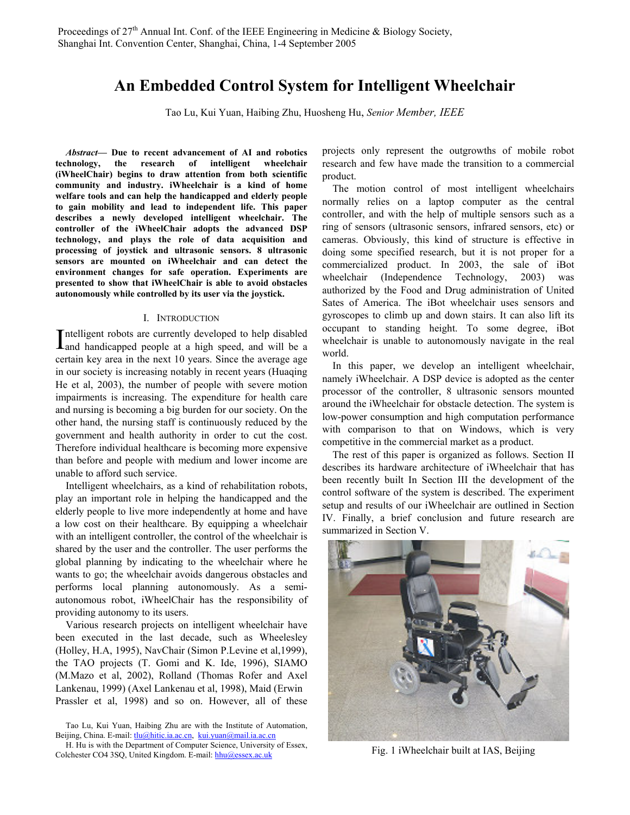# An Embedded Control System for Intelligent Wheelchair

Tao Lu, Kui Yuan, Haibing Zhu, Huosheng Hu, Senior Member, IEEE

Abstract— Due to recent advancement of AI and robotics technology, the research of intelligent wheelchair (iWheelChair) begins to draw attention from both scientific community and industry. iWheelchair is a kind of home welfare tools and can help the handicapped and elderly people to gain mobility and lead to independent life. This paper describes a newly developed intelligent wheelchair. The controller of the iWheelChair adopts the advanced DSP technology, and plays the role of data acquisition and processing of joystick and ultrasonic sensors. 8 ultrasonic sensors are mounted on iWheelchair and can detect the environment changes for safe operation. Experiments are presented to show that iWheelChair is able to avoid obstacles autonomously while controlled by its user via the joystick.

## I. INTRODUCTION

ntelligent robots are currently developed to help disabled Intelligent robots are currently developed to help disabled<br>and handicapped people at a high speed, and will be a certain key area in the next 10 years. Since the average age in our society is increasing notably in recent years (Huaqing He et al, 2003), the number of people with severe motion impairments is increasing. The expenditure for health care and nursing is becoming a big burden for our society. On the other hand, the nursing staff is continuously reduced by the government and health authority in order to cut the cost. Therefore individual healthcare is becoming more expensive than before and people with medium and lower income are unable to afford such service.

Intelligent wheelchairs, as a kind of rehabilitation robots, play an important role in helping the handicapped and the elderly people to live more independently at home and have a low cost on their healthcare. By equipping a wheelchair with an intelligent controller, the control of the wheelchair is shared by the user and the controller. The user performs the global planning by indicating to the wheelchair where he wants to go; the wheelchair avoids dangerous obstacles and performs local planning autonomously. As a semiautonomous robot, iWheelChair has the responsibility of providing autonomy to its users.

Various research projects on intelligent wheelchair have been executed in the last decade, such as Wheelesley (Holley, H.A, 1995), NavChair (Simon P.Levine et al,1999), the TAO projects (T. Gomi and K. Ide, 1996), SIAMO (M.Mazo et al, 2002), Rolland (Thomas Rofer and Axel Lankenau, 1999) (Axel Lankenau et al, 1998), Maid (Erwin Prassler et al, 1998) and so on. However, all of these projects only represent the outgrowths of mobile robot research and few have made the transition to a commercial product.

The motion control of most intelligent wheelchairs normally relies on a laptop computer as the central controller, and with the help of multiple sensors such as a ring of sensors (ultrasonic sensors, infrared sensors, etc) or cameras. Obviously, this kind of structure is effective in doing some specified research, but it is not proper for a commercialized product. In 2003, the sale of iBot wheelchair (Independence Technology, 2003) was authorized by the Food and Drug administration of United Sates of America. The iBot wheelchair uses sensors and gyroscopes to climb up and down stairs. It can also lift its occupant to standing height. To some degree, iBot wheelchair is unable to autonomously navigate in the real world.

In this paper, we develop an intelligent wheelchair, namely iWheelchair. A DSP device is adopted as the center processor of the controller, 8 ultrasonic sensors mounted around the iWheelchair for obstacle detection. The system is low-power consumption and high computation performance with comparison to that on Windows, which is very competitive in the commercial market as a product.

The rest of this paper is organized as follows. Section II describes its hardware architecture of iWheelchair that has been recently built In Section III the development of the control software of the system is described. The experiment setup and results of our iWheelchair are outlined in Section IV. Finally, a brief conclusion and future research are summarized in Section V.



Fig. 1 iWheelchair built at IAS, Beijing

Tao Lu, Kui Yuan, Haibing Zhu are with the Institute of Automation, Beijing, China. E-mail: tlu@hitic.ia.ac.cn, kui.yuan@mail.ia.ac.cn

H. Hu is with the Department of Computer Science, University of Essex, Colchester CO4 3SQ, United Kingdom. E-mail: hhu@essex.ac.uk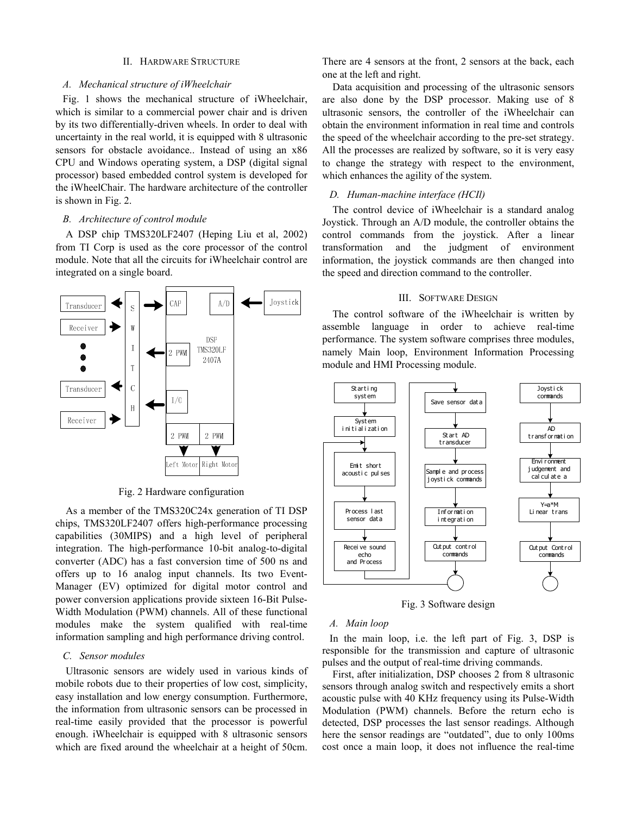## II. HARDWARE STRUCTURE

## A. Mechanical structure of iWheelchair

Fig. 1 shows the mechanical structure of iWheelchair, which is similar to a commercial power chair and is driven by its two differentially-driven wheels. In order to deal with uncertainty in the real world, it is equipped with 8 ultrasonic sensors for obstacle avoidance.. Instead of using an x86 CPU and Windows operating system, a DSP (digital signal processor) based embedded control system is developed for the iWheelChair. The hardware architecture of the controller is shown in Fig. 2.

## B. Architecture of control module

A DSP chip TMS320LF2407 (Heping Liu et al, 2002) from TI Corp is used as the core processor of the control module. Note that all the circuits for iWheelchair control are integrated on a single board.



Fig. 2 Hardware configuration

As a member of the TMS320C24x generation of TI DSP chips, TMS320LF2407 offers high-performance processing capabilities (30MIPS) and a high level of peripheral integration. The high-performance 10-bit analog-to-digital converter (ADC) has a fast conversion time of 500 ns and offers up to 16 analog input channels. Its two Event-Manager (EV) optimized for digital motor control and power conversion applications provide sixteen 16-Bit Pulse-Width Modulation (PWM) channels. All of these functional modules make the system qualified with real-time information sampling and high performance driving control.

# C. Sensor modules

Ultrasonic sensors are widely used in various kinds of mobile robots due to their properties of low cost, simplicity, easy installation and low energy consumption. Furthermore, the information from ultrasonic sensors can be processed in real-time easily provided that the processor is powerful enough. iWheelchair is equipped with 8 ultrasonic sensors which are fixed around the wheelchair at a height of 50cm.

There are 4 sensors at the front, 2 sensors at the back, each one at the left and right.

Data acquisition and processing of the ultrasonic sensors are also done by the DSP processor. Making use of 8 ultrasonic sensors, the controller of the iWheelchair can obtain the environment information in real time and controls the speed of the wheelchair according to the pre-set strategy. All the processes are realized by software, so it is very easy to change the strategy with respect to the environment, which enhances the agility of the system.

## D. Human-machine interface (HCIl)

The control device of iWheelchair is a standard analog Joystick. Through an A/D module, the controller obtains the control commands from the joystick. After a linear transformation and the judgment of environment information, the joystick commands are then changed into the speed and direction command to the controller.

## III. SOFTWARE DESIGN

The control software of the iWheelchair is written by assemble language in order to achieve real-time performance. The system software comprises three modules, namely Main loop, Environment Information Processing module and HMI Processing module.



Fig. 3 Software design

#### A. Main loop

In the main loop, i.e. the left part of Fig. 3, DSP is responsible for the transmission and capture of ultrasonic pulses and the output of real-time driving commands.

First, after initialization, DSP chooses 2 from 8 ultrasonic sensors through analog switch and respectively emits a short acoustic pulse with 40 KHz frequency using its Pulse-Width Modulation (PWM) channels. Before the return echo is detected, DSP processes the last sensor readings. Although here the sensor readings are "outdated", due to only 100ms cost once a main loop, it does not influence the real-time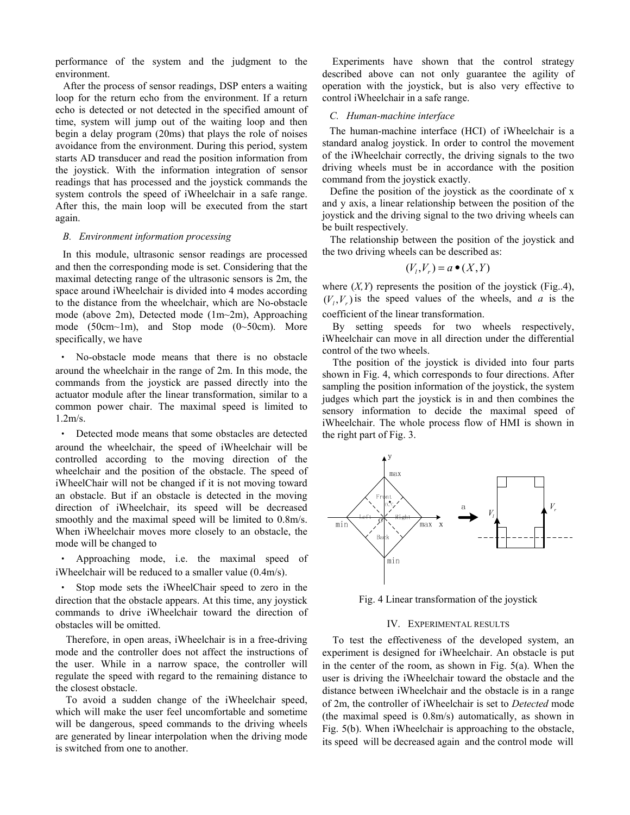performance of the system and the judgment to the environment.

 After the process of sensor readings, DSP enters a waiting loop for the return echo from the environment. If a return echo is detected or not detected in the specified amount of time, system will jump out of the waiting loop and then begin a delay program (20ms) that plays the role of noises avoidance from the environment. During this period, system starts AD transducer and read the position information from the joystick. With the information integration of sensor readings that has processed and the joystick commands the system controls the speed of iWheelchair in a safe range. After this, the main loop will be executed from the start again.

## B. Environment information processing

In this module, ultrasonic sensor readings are processed and then the corresponding mode is set. Considering that the maximal detecting range of the ultrasonic sensors is 2m, the space around iWheelchair is divided into 4 modes according to the distance from the wheelchair, which are No-obstacle mode (above 2m), Detected mode (1m~2m), Approaching mode (50cm~1m), and Stop mode (0~50cm). More specifically, we have

• No-obstacle mode means that there is no obstacle around the wheelchair in the range of 2m. In this mode, the commands from the joystick are passed directly into the actuator module after the linear transformation, similar to a common power chair. The maximal speed is limited to 1.2m/s.

Detected mode means that some obstacles are detected around the wheelchair, the speed of iWheelchair will be controlled according to the moving direction of the wheelchair and the position of the obstacle. The speed of iWheelChair will not be changed if it is not moving toward an obstacle. But if an obstacle is detected in the moving direction of iWheelchair, its speed will be decreased smoothly and the maximal speed will be limited to 0.8m/s. When iWheelchair moves more closely to an obstacle, the mode will be changed to

• Approaching mode, i.e. the maximal speed of iWheelchair will be reduced to a smaller value (0.4m/s).

Stop mode sets the iWheelChair speed to zero in the direction that the obstacle appears. At this time, any joystick commands to drive iWheelchair toward the direction of obstacles will be omitted.

Therefore, in open areas, iWheelchair is in a free-driving mode and the controller does not affect the instructions of the user. While in a narrow space, the controller will regulate the speed with regard to the remaining distance to the closest obstacle.

 To avoid a sudden change of the iWheelchair speed, which will make the user feel uncomfortable and sometime will be dangerous, speed commands to the driving wheels are generated by linear interpolation when the driving mode is switched from one to another.

 Experiments have shown that the control strategy described above can not only guarantee the agility of operation with the joystick, but is also very effective to control iWheelchair in a safe range.

#### C. Human-machine interface

The human-machine interface (HCI) of iWheelchair is a standard analog joystick. In order to control the movement of the iWheelchair correctly, the driving signals to the two driving wheels must be in accordance with the position command from the joystick exactly.

 Define the position of the joystick as the coordinate of x and y axis, a linear relationship between the position of the joystick and the driving signal to the two driving wheels can be built respectively.

 The relationship between the position of the joystick and the two driving wheels can be described as:

$$
(V_i, V_r) = a \bullet (X, Y)
$$

where  $(X, Y)$  represents the position of the joystick (Fig. 4),  $(V_1, V_2)$  is the speed values of the wheels, and a is the coefficient of the linear transformation.

By setting speeds for two wheels respectively, iWheelchair can move in all direction under the differential control of the two wheels.

Tthe position of the joystick is divided into four parts shown in Fig. 4, which corresponds to four directions. After sampling the position information of the joystick, the system judges which part the joystick is in and then combines the sensory information to decide the maximal speed of iWheelchair. The whole process flow of HMI is shown in the right part of Fig. 3.



Fig. 4 Linear transformation of the joystick

#### IV. EXPERIMENTAL RESULTS

To test the effectiveness of the developed system, an experiment is designed for iWheelchair. An obstacle is put in the center of the room, as shown in Fig. 5(a). When the user is driving the iWheelchair toward the obstacle and the distance between iWheelchair and the obstacle is in a range of 2m, the controller of iWheelchair is set to *Detected* mode (the maximal speed is 0.8m/s) automatically, as shown in Fig. 5(b). When iWheelchair is approaching to the obstacle, its speed will be decreased again and the control mode will